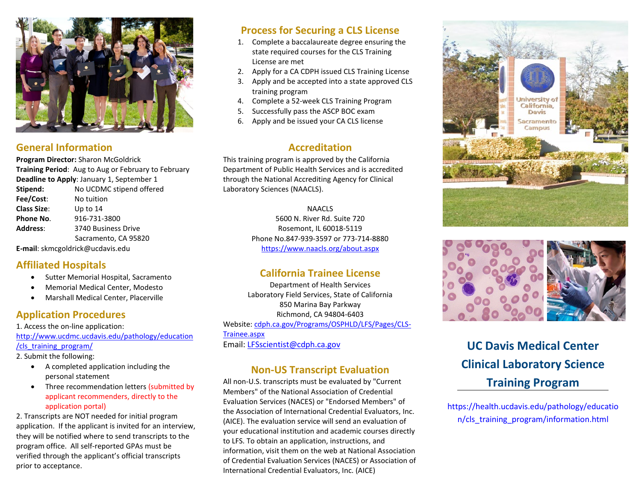

#### **General Information**

**Program Director:** Sharon McGoldrick **Training Period**: Aug to Aug or February to February **Deadline to Apply**: January 1, September 1

| Stipend:           | No UCDMC stipend offered |
|--------------------|--------------------------|
| Fee/Cost:          | No tuition               |
| <b>Class Size:</b> | Up to $14$               |
| Phone No.          | 916-731-3800             |
| Address:           | 3740 Business Drive      |
|                    | Sacramento, CA 95820     |
|                    |                          |

**E-mail**: skmcgoldrick@ucdavis.edu

#### **Affiliated Hospitals**

- Sutter Memorial Hospital, Sacramento
- Memorial Medical Center, Modesto
- Marshall Medical Center, Placerville

### **Application Procedures**

1. Access the on-line application: [http://www.ucdmc.ucdavis.edu/pathology/education](http://www.ucdmc.ucdavis.edu/pathology/education/cls_training_program/) [/cls\\_training\\_program/](http://www.ucdmc.ucdavis.edu/pathology/education/cls_training_program/)

- 2. Submit the following:
	- A completed application including the personal statement
	- Three recommendation letters (submitted by applicant recommenders, directly to the application portal)

2. Transcripts are NOT needed for initial program application. If the applicant is invited for an interview, they will be notified where to send transcripts to the program office. All self-reported GPAs must be verified through the applicant's official transcripts prior to acceptance.

# **Process for Securing a CLS License**

- 1. Complete a baccalaureate degree ensuring the state required courses for the CLS Training License are met
- 2. Apply for a CA CDPH issued CLS Training License
- 3. Apply and be accepted into a state approved CLS training program
- 4. Complete a 52-week CLS Training Program
- 5. Successfully pass the ASCP BOC exam
- 6. Apply and be issued your CA CLS license

#### **Accreditation**

This training program is approved by the California Department of Public Health Services and is accredited through the National Accrediting Agency for Clinical Laboratory Sciences (NAACLS).

#### NAACLS

5600 N. River Rd. Suite 720 Rosemont, IL 60018-5119 Phone No.847-939-3597 or 773-714-8880 <https://www.naacls.org/about.aspx>

### **California Trainee License**

Department of Health Services Laboratory Field Services, State of California 850 Marina Bay Parkway Richmond, CA 94804-6403 Website: [cdph.ca.gov/Programs/OSPHLD/LFS/Pages/CLS-](https://www.cdph.ca.gov/Programs/OSPHLD/LFS/Pages/CLS-Trainee.aspx)[Trainee.aspx](https://www.cdph.ca.gov/Programs/OSPHLD/LFS/Pages/CLS-Trainee.aspx) Email: [LFSscientist@cdph.ca.gov](mailto:LFSscientist@cdph.ca.gov)

#### **Non-US Transcript Evaluation**

All non-U.S. transcripts must be evaluated by "Current Members" of the [National Association of Credential](http://www.naces.org/members.html)  [Evaluation Services \(NACES\)](http://www.naces.org/members.html) or "Endorsed Members" of the [Association of International Credential Evaluators, Inc.](http://aice-eval.org/members/)  [\(AICE\).](http://aice-eval.org/members/) The evaluation service will send an evaluation of your educational institution and academic courses directly to LFS. To obtain an application, instructions, and information, visit them on the web at [National Association](http://www.naces.org/members.html)  [of Credential Evaluation Services \(NACES\)](http://www.naces.org/members.html) or [Association of](http://aice-eval.org/members/)  [International Credential Evaluators, Inc. \(AICE\)](http://aice-eval.org/members/)





# **UC Davis Medical Center Clinical Laboratory Science Training Program**

https://health.ucdavis.edu/pathology/educatio n/cls\_training\_program/information.html